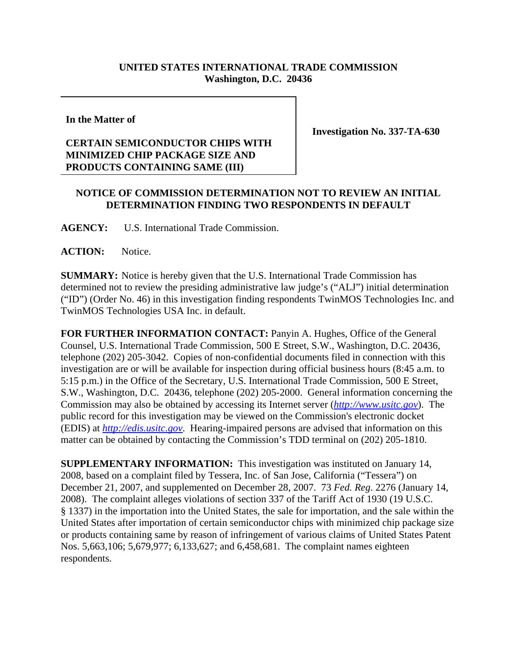## **UNITED STATES INTERNATIONAL TRADE COMMISSION Washington, D.C. 20436**

**In the Matter of**

## **CERTAIN SEMICONDUCTOR CHIPS WITH MINIMIZED CHIP PACKAGE SIZE AND PRODUCTS CONTAINING SAME (III)**

**Investigation No. 337-TA-630**

## **NOTICE OF COMMISSION DETERMINATION NOT TO REVIEW AN INITIAL DETERMINATION FINDING TWO RESPONDENTS IN DEFAULT**

**AGENCY:** U.S. International Trade Commission.

ACTION: Notice.

**SUMMARY:** Notice is hereby given that the U.S. International Trade Commission has determined not to review the presiding administrative law judge's ("ALJ") initial determination ("ID") (Order No. 46) in this investigation finding respondents TwinMOS Technologies Inc. and TwinMOS Technologies USA Inc. in default.

**FOR FURTHER INFORMATION CONTACT:** Panyin A. Hughes, Office of the General Counsel, U.S. International Trade Commission, 500 E Street, S.W., Washington, D.C. 20436, telephone (202) 205-3042. Copies of non-confidential documents filed in connection with this investigation are or will be available for inspection during official business hours (8:45 a.m. to 5:15 p.m.) in the Office of the Secretary, U.S. International Trade Commission, 500 E Street, S.W., Washington, D.C. 20436, telephone (202) 205-2000. General information concerning the Commission may also be obtained by accessing its Internet server (*http://www.usitc.gov*). The public record for this investigation may be viewed on the Commission's electronic docket (EDIS) at *http://edis.usitc.gov*. Hearing-impaired persons are advised that information on this matter can be obtained by contacting the Commission's TDD terminal on (202) 205-1810.

**SUPPLEMENTARY INFORMATION:** This investigation was instituted on January 14, 2008, based on a complaint filed by Tessera, Inc. of San Jose, California ("Tessera") on December 21, 2007, and supplemented on December 28, 2007. 73 *Fed. Reg*. 2276 (January 14, 2008). The complaint alleges violations of section 337 of the Tariff Act of 1930 (19 U.S.C. § 1337) in the importation into the United States, the sale for importation, and the sale within the United States after importation of certain semiconductor chips with minimized chip package size or products containing same by reason of infringement of various claims of United States Patent Nos. 5,663,106; 5,679,977; 6,133,627; and 6,458,681. The complaint names eighteen respondents.